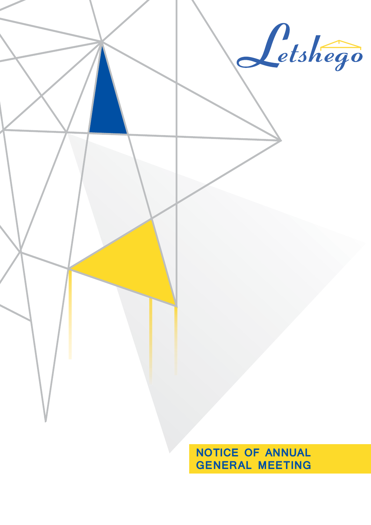

**GENERAL MEETING**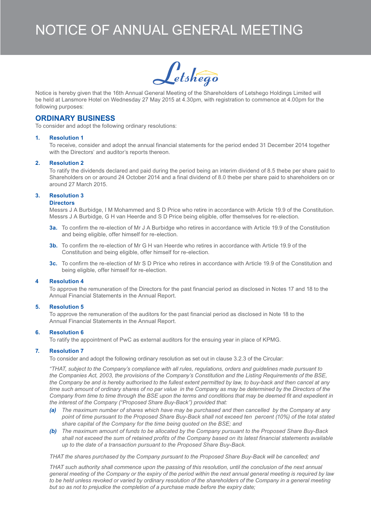# Notice of Annual general Meeting



Notice is hereby given that the 16th Annual General Meeting of the Shareholders of Letshego Holdings Limited will be held at Lansmore Hotel on Wednesday 27 May 2015 at 4.30pm, with registration to commence at 4.00pm for the following purposes:

### **ORDINARY BUSINESS**

To consider and adopt the following ordinary resolutions:

#### **1. Resolution 1**

To receive, consider and adopt the annual financial statements for the period ended 31 December 2014 together with the Directors' and auditor's reports thereon.

#### **2. Resolution 2**

To ratify the dividends declared and paid during the period being an interim dividend of 8.5 thebe per share paid to Shareholders on or around 24 October 2014 and a final dividend of 8.0 thebe per share paid to shareholders on or around 27 March 2015.

#### **3. Resolution 3**

#### **Directors**

Messrs J A Burbidge, I M Mohammed and S D Price who retire in accordance with Article 19.9 of the Constitution. Messrs J A Burbidge, G H van Heerde and S D Price being eligible, offer themselves for re-election.

- **3a.** To confirm the re-election of Mr J A Burbidge who retires in accordance with Article 19.9 of the Constitution and being eligible, offer himself for re-election.
- **3b.** To confirm the re-election of Mr G H van Heerde who retires in accordance with Article 19.9 of the Constitution and being eligible, offer himself for re-election.
- **3c.** To confirm the re-election of Mr S D Price who retires in accordance with Article 19.9 of the Constitution and being eligible, offer himself for re-election.

#### **4 Resolution 4**

To approve the remuneration of the Directors for the past financial period as disclosed in Notes 17 and 18 to the Annual Financial Statements in the Annual Report.

#### **5. Resolution 5**

To approve the remuneration of the auditors for the past financial period as disclosed in Note 18 to the Annual Financial Statements in the Annual Report.

#### **6. Resolution 6**

To ratify the appointment of PwC as external auditors for the ensuing year in place of KPMG.

#### **7. Resolution 7**

To consider and adopt the following ordinary resolution as set out in clause 3.2.3 of the Circular:

*"THAT, subject to the Company's compliance with all rules, regulations, orders and guidelines made pursuant to the Companies Act, 2003, the provisions of the Company's Constitution and the Listing Requirements of the BSE, the Company be and is hereby authorised to the fullest extent permitted by law, to buy-back and then cancel at any*  time such amount of ordinary shares of no par value in the Company as may be determined by the Directors of the *Company from time to time through the BSE upon the terms and conditions that may be deemed fit and expedient in the interest of the Company ("Proposed Share Buy-Back") provided that:*

- *(a) The maximum number of shares which have may be purchased and then cancelled by the Company at any point of time pursuant to the Proposed Share Buy-Back shall not exceed ten percent (10%) of the total stated share capital of the Company for the time being quoted on the BSE; and*
- *(b) The maximum amount of funds to be allocated by the Company pursuant to the Proposed Share Buy-Back shall not exceed the sum of retained profits of the Company based on its latest financial statements available up to the date of a transaction pursuant to the Proposed Share Buy-Back.*

*THAT the shares purchased by the Company pursuant to the Proposed Share Buy-Back will be cancelled; and*

*THAT such authority shall commence upon the passing of this resolution, until the conclusion of the next annual general meeting of the Company or the expiry of the period within the next annual general meeting is required by law*  to be held unless revoked or varied by ordinary resolution of the shareholders of the Company in a general meeting *but so as not to prejudice the completion of a purchase made before the expiry date;*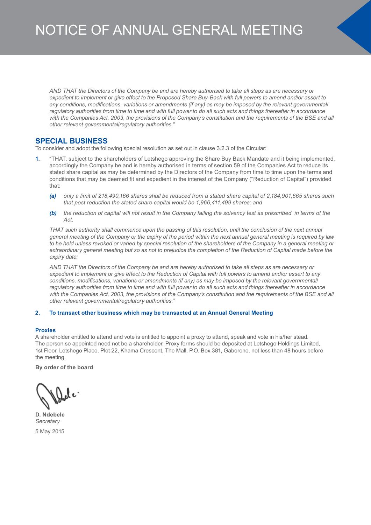*AND THAT the Directors of the Company be and are hereby authorised to take all steps as are necessary or expedient to implement or give effect to the Proposed Share Buy-Back with full powers to amend and/or assert to any conditions, modifications, variations or amendments (if any) as may be imposed by the relevant governmental/* regulatory authorities from time to time and with full power to do all such acts and things thereafter in accordance with the Companies Act, 2003, the provisions of the Company's constitution and the requirements of the BSE and all *other relevant governmental/regulatory authorities."*

## **SPECIAL BUSINESS**

To consider and adopt the following special resolution as set out in clause 3.2.3 of the Circular:

- **1.** "THAT, subject to the shareholders of Letshego approving the Share Buy Back Mandate and it being implemented, accordingly the Company be and is hereby authorised in terms of section 59 of the Companies Act to reduce its stated share capital as may be determined by the Directors of the Company from time to time upon the terms and conditions that may be deemed fit and expedient in the interest of the Company ("Reduction of Capital") provided that:
	- *(a) only a limit of 218,490,166 shares shall be reduced from a stated share capital of 2,184,901,665 shares such that post reduction the stated share capital would be 1,966,411,499 shares; and*
	- *(b) the reduction of capital will not result in the Company failing the solvency test as prescribed in terms of the Act.*

*THAT such authority shall commence upon the passing of this resolution, until the conclusion of the next annual general meeting of the Company or the expiry of the period within the next annual general meeting is required by law to be held unless revoked or varied by special resolution of the shareholders of the Company in a general meeting or*  extraordinary general meeting but so as not to prejudice the completion of the Reduction of Capital made before the *expiry date;*

*AND THAT the Directors of the Company be and are hereby authorised to take all steps as are necessary or expedient to implement or give effect to the Reduction of Capital with full powers to amend and/or assert to any conditions, modifications, variations or amendments (if any) as may be imposed by the relevant governmental/* regulatory authorities from time to time and with full power to do all such acts and things thereafter in accordance with the Companies Act, 2003, the provisions of the Company's constitution and the requirements of the BSE and all *other relevant governmental/regulatory authorities."*

#### **2. To transact other business which may be transacted at an Annual General Meeting**

#### **Proxies**

A shareholder entitled to attend and vote is entitled to appoint a proxy to attend, speak and vote in his/her stead. The person so appointed need not be a shareholder. Proxy forms should be deposited at Letshego Holdings Limited, 1st Floor, Letshego Place, Plot 22, Khama Crescent, The Mall, P.O. Box 381, Gaborone, not less than 48 hours before the meeting.

**By order of the board**

**D. Ndebele** *Secretary*

5 May 2015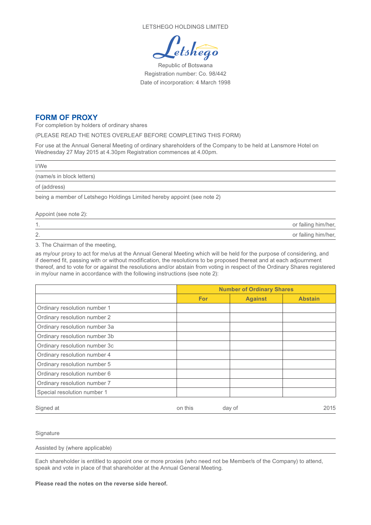LETSHEGO HOLDINGS LIMITED

etshego

Republic of Botswana Registration number: Co. 98/442 Date of incorporation: 4 March 1998

## **Form of Proxy**

For completion by holders of ordinary shares

(PLEASE READ THE NOTES OVERLEAF BEFORE COMPLETING THIS FORM)

For use at the Annual General Meeting of ordinary shareholders of the Company to be held at Lansmore Hotel on Wednesday 27 May 2015 at 4.30pm Registration commences at 4.00pm.

l/We

(name/s in block letters)

of (address)

being a member of Letshego Holdings Limited hereby appoint (see note 2)

#### Appoint (see note 2):

| . .          | or failing him/her, |
|--------------|---------------------|
| $\sim$<br>Z. | or failing him/her, |

3. The Chairman of the meeting,

as my/our proxy to act for me/us at the Annual General Meeting which will be held for the purpose of considering, and if deemed fit, passing with or without modification, the resolutions to be proposed thereat and at each adjournment thereof, and to vote for or against the resolutions and/or abstain from voting in respect of the Ordinary Shares registered in my/our name in accordance with the following instructions (see note 2):

|                               | <b>Number of Ordinary Shares</b> |                |                |
|-------------------------------|----------------------------------|----------------|----------------|
|                               | For                              | <b>Against</b> | <b>Abstain</b> |
| Ordinary resolution number 1  |                                  |                |                |
| Ordinary resolution number 2  |                                  |                |                |
| Ordinary resolution number 3a |                                  |                |                |
| Ordinary resolution number 3b |                                  |                |                |
| Ordinary resolution number 3c |                                  |                |                |
| Ordinary resolution number 4  |                                  |                |                |
| Ordinary resolution number 5  |                                  |                |                |
| Ordinary resolution number 6  |                                  |                |                |
| Ordinary resolution number 7  |                                  |                |                |
| Special resolution number 1   |                                  |                |                |
| Signed at                     | on this                          | day of         | 2015           |

#### **Signature**

Assisted by (where applicable)

Each shareholder is entitled to appoint one or more proxies (who need not be Member/s of the Company) to attend, speak and vote in place of that shareholder at the Annual General Meeting.

**Please read the notes on the reverse side hereof.**